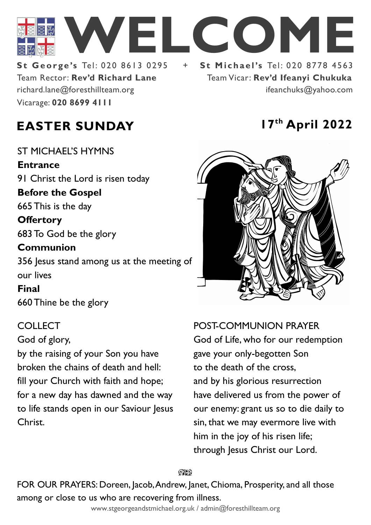

Team Rector: **Rev'd Richard Lane St George's Tel: 020 8613 0295** Vicarage: **020 8699 4111**  richard.lane@foresthillteam.org ifeanchuks@yahoo.com

Team Vicar: **Rev'd Ifeanyi Chukuka**

# **EASTER SUNDAY 17th April 2022**

ST MICHAEL'S HYMNS **Entrance** 91 Christ the Lord is risen today **Before the Gospel**  665 This is the day **Offertory**  683 To God be the glory **Communion**  356 Jesus stand among us at the meeting of our lives **Final**  660 Thine be the glory

## COLLECT

God of glory,

by the raising of your Son you have broken the chains of death and hell: fill your Church with faith and hope; for a new day has dawned and the way to life stands open in our Saviour Jesus Christ.



POST-COMMUNION PRAYER

God of Life, who for our redemption gave your only-begotten Son to the death of the cross, and by his glorious resurrection have delivered us from the power of our enemy: grant us so to die daily to sin, that we may evermore live with him in the joy of his risen life; through Jesus Christ our Lord.

೧೪೧

FOR OUR PRAYERS: Doreen, Jacob, Andrew, Janet, Chioma, Prosperity, and all those among or close to us who are recovering from illness.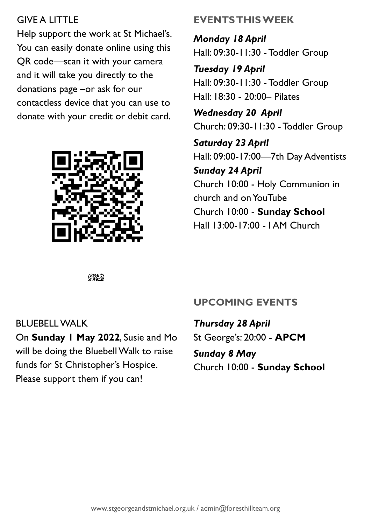## GIVE A LITTLE

Help support the work at St Michael's. You can easily donate online using this QR code—scan it with your camera and it will take you directly to the donations page –or ask for our contactless device that you can use to donate with your credit or debit card.



# **EVENTS THIS WEEK**

*Monday 18 April* Hall: 09:30-11:30 -Toddler Group

*Tuesday 19 April* Hall: 09:30-11:30 -Toddler Group Hall: 18:30 - 20:00– Pilates

*Wednesday 20 April* Church: 09:30-11:30 -Toddler Group

*Saturday 23 April* Hall: 09:00-17:00—7th Day Adventists *Sunday 24 April* Church 10:00 - Holy Communion in church and on YouTube Church 10:00 - **Sunday School** Hall 13:00-17:00 - I AM Church

 $@$ 

BLUEBELL WALK

On **Sunday 1 May 2022**, Susie and Mo will be doing the Bluebell Walk to raise funds for St Christopher's Hospice. Please support them if you can!

# **UPCOMING EVENTS**

*Thursday 28 April* St George's: 20:00 - **APCM** *Sunday 8 May* Church 10:00 - **Sunday School**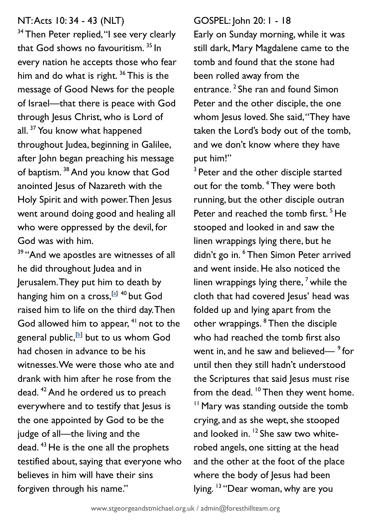#### NT: Acts 10: 34 - 43 (NLT)

<sup>34</sup> Then Peter replied, "I see very clearly that God shows no favouritism.<sup>35</sup> In every nation he accepts those who fear him and do what is right.<sup>36</sup> This is the message of Good News for the people of Israel—that there is peace with God through Jesus Christ, who is Lord of all.<sup>37</sup> You know what happened throughout Judea, beginning in Galilee, after John began preaching his message of baptism. <sup>38</sup> And you know that God anointed Jesus of Nazareth with the Holy Spirit and with power. Then Jesus went around doing good and healing all who were oppressed by the devil, for God was with him.

<sup>39</sup> "And we apostles are witnesses of all he did throughout Judea and in Jerusalem. They put him to death by hanging him on a cross,<sup>[\[a\]](https://www.biblegateway.com/passage/?search=Acts+10%3A+34%E2%80%9443&version=NLT#fen-NLT-27263a) 40</sup> but God raised him to life on the third day. Then God allowed him to appear,  $41$  not to the general public, $^{\text{\tiny{\textsf{(b)}}}}$  but to us whom God had chosen in advance to be his witnesses. We were those who ate and drank with him after he rose from the dead.<sup>42</sup> And he ordered us to preach everywhere and to testify that lesus is the one appointed by God to be the judge of all—the living and the dead. <sup>43</sup> He is the one all the prophets testified about, saying that everyone who believes in him will have their sins forgiven through his name."

#### GOSPEL: John 20: 1 - 18

Early on Sunday morning, while it was still dark, Mary Magdalene came to the tomb and found that the stone had been rolled away from the entrance.<sup>2</sup> She ran and found Simon Peter and the other disciple, the one whom Jesus loved. She said, "They have taken the Lord's body out of the tomb, and we don't know where they have put him!"

<sup>3</sup> Peter and the other disciple started out for the tomb. <sup>4</sup> They were both running, but the other disciple outran Peter and reached the tomb first.<sup>5</sup> He stooped and looked in and saw the linen wrappings lying there, but he didn't go in. <sup>6</sup> Then Simon Peter arrived and went inside. He also noticed the linen wrappings lying there,  $<sup>7</sup>$  while the</sup> cloth that had covered Jesus' head was folded up and lying apart from the other wrappings. <sup>8</sup> Then the disciple who had reached the tomb first also went in, and he saw and believed— $9^{\circ}$  for until then they still hadn't understood the Scriptures that said Jesus must rise from the dead.  $10$  Then they went home. <sup>11</sup> Mary was standing outside the tomb crying, and as she wept, she stooped and looked in. <sup>12</sup> She saw two whiterobed angels, one sitting at the head and the other at the foot of the place where the body of Jesus had been lying. <sup>13</sup> "Dear woman, why are you